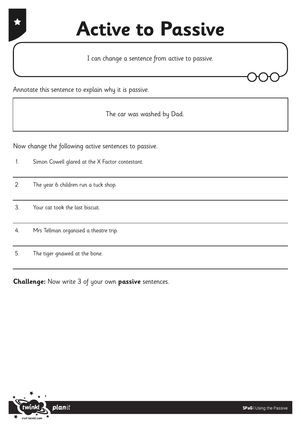## **Active to Passive**

I can change a sentence from active to passive.

Annotate this sentence to explain why it is passive.

The car was washed by Dad.

Now change the following active sentences to passive.

- 1. Simon Cowell glared at the X Factor contestant.
- 2. The year 6 children run a tuck shop.
- 3. Your cat took the last biscuit.
- 4. Mrs Tellman organised a theatre trip.
- 5. The tiger gnawed at the bone.

**Challenge:** Now write 3 of your own **passive** sentences.

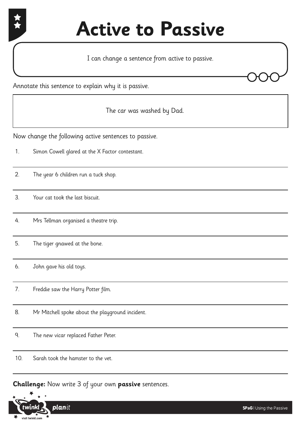

## **Active to Passive**

I can change a sentence from active to passive.



The car was washed by Dad.

Now change the following active sentences to passive.

- 1. Simon Cowell glared at the X Factor contestant.
- 2. The year 6 children run a tuck shop.
- 3. Your cat took the last biscuit.

4. Mrs Tellman organised a theatre trip.

- 5. The tiger gnawed at the bone.
- 6. John gave his old toys.
- 7. Freddie saw the Harry Potter film.
- 8. Mr Mitchell spoke about the playground incident.
- 9. The new vicar replaced Father Peter.
- 10. Sarah took the hamster to the vet.

**Challenge:** Now write 3 of your own **passive** sentences.

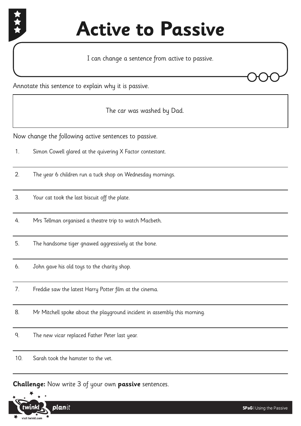

## **Active to Passive**

I can change a sentence from active to passive.

Annotate this sentence to explain why it is passive.

The car was washed by Dad.

Now change the following active sentences to passive.

- 1. Simon Cowell glared at the quivering X Factor contestant.
- 2. The year 6 children run a tuck shop on Wednesday mornings.
- 3. Your cat took the last biscuit off the plate.
- 4. Mrs Tellman organised a theatre trip to watch Macbeth.
- 5. The handsome tiger gnawed aggressively at the bone.
- 6. John gave his old toys to the charity shop.
- 7. Freddie saw the latest Harry Potter film at the cinema.
- 8. Mr Mitchell spoke about the playground incident in assembly this morning.
- 9. The new vicar replaced Father Peter last year.
- 10. Sarah took the hamster to the vet.

**Challenge:** Now write 3 of your own **passive** sentences.